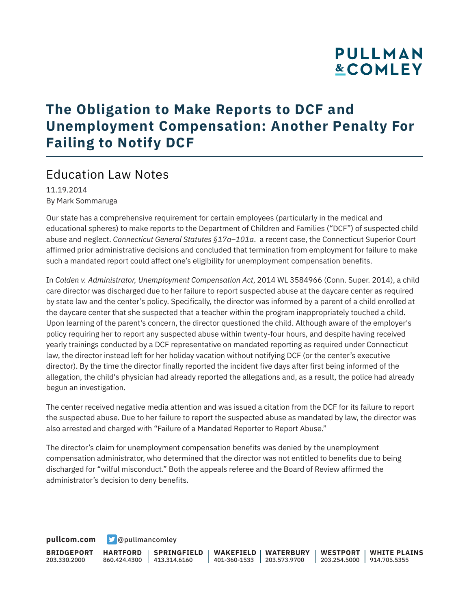## **PULLMAN &COMLEY**

## **The Obligation to Make Reports to DCF and Unemployment Compensation: Another Penalty For Failing to Notify DCF**

#### Education Law Notes

11.19.2014 By Mark Sommaruga

Our state has a comprehensive requirement for certain employees (particularly in the medical and educational spheres) to make reports to the Department of Children and Families ("DCF") of suspected child abuse and neglect. *Connecticut General Statutes §17a–101a*. a recent case, the Connecticut Superior Court affirmed prior administrative decisions and concluded that termination from employment for failure to make such a mandated report could affect one's eligibility for unemployment compensation benefits.

In *Colden v. Administrator, Unemployment Compensation Act*, 2014 WL 3584966 (Conn. Super. 2014), a child care director was discharged due to her failure to report suspected abuse at the daycare center as required by state law and the center's policy. Specifically, the director was informed by a parent of a child enrolled at the daycare center that she suspected that a teacher within the program inappropriately touched a child. Upon learning of the parent's concern, the director questioned the child. Although aware of the employer's policy requiring her to report any suspected abuse within twenty-four hours, and despite having received yearly trainings conducted by a DCF representative on mandated reporting as required under Connecticut law, the director instead left for her holiday vacation without notifying DCF (or the center's executive director). By the time the director finally reported the incident five days after first being informed of the allegation, the child's physician had already reported the allegations and, as a result, the police had already begun an investigation.

The center received negative media attention and was issued a citation from the DCF for its failure to report the suspected abuse. Due to her failure to report the suspected abuse as mandated by law, the director was also arrested and charged with "Failure of a Mandated Reporter to Report Abuse."

The director's claim for unemployment compensation benefits was denied by the unemployment compensation administrator, who determined that the director was not entitled to benefits due to being discharged for "wilful misconduct." Both the appeals referee and the Board of Review affirmed the administrator's decision to deny benefits.

**[pullcom.com](https://www.pullcom.com) g** [@pullmancomley](https://twitter.com/PullmanComley)

**BRIDGEPORT** 203.330.2000 **HARTFORD** 860.424.4300 413.314.6160 **SPRINGFIELD WAKEFIELD WATERBURY** 401-360-1533 203.573.9700 **WESTPORT WHITE PLAINS** 203.254.5000 914.705.5355